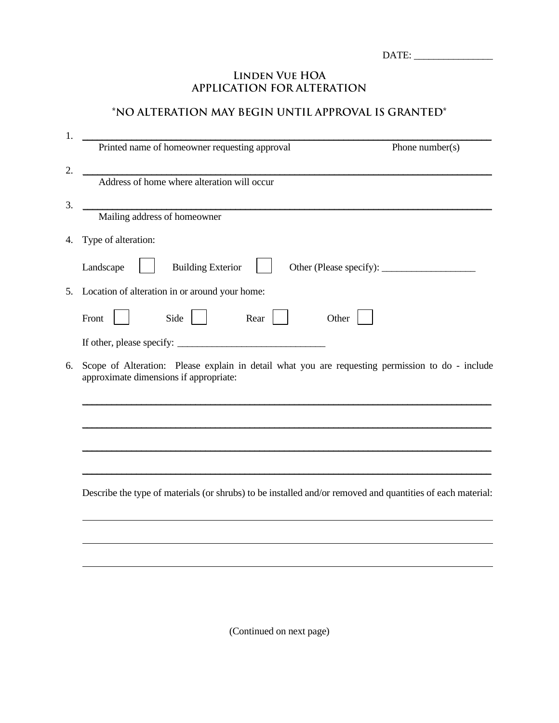## **Linden Vue HOA APPLICATION FOR ALTERATION**

## **\*NO ALTERATION MAY BEGIN UNTIL APPROVAL IS GRANTED\***

| 1. | Printed name of homeowner requesting approval<br>Phone number(s)                                                                           |
|----|--------------------------------------------------------------------------------------------------------------------------------------------|
|    |                                                                                                                                            |
| 2. | Address of home where alteration will occur                                                                                                |
| 3. | Mailing address of homeowner                                                                                                               |
| 4. | Type of alteration:                                                                                                                        |
|    | <b>Building Exterior</b><br>Landscape                                                                                                      |
|    | 5. Location of alteration in or around your home:                                                                                          |
|    | Side<br>Rear<br>Front<br>Other                                                                                                             |
|    |                                                                                                                                            |
| 6. | Scope of Alteration: Please explain in detail what you are requesting permission to do - include<br>approximate dimensions if appropriate: |
|    |                                                                                                                                            |
|    |                                                                                                                                            |
|    |                                                                                                                                            |
|    | Describe the type of materials (or shrubs) to be installed and/or removed and quantities of each material:                                 |
|    |                                                                                                                                            |
|    |                                                                                                                                            |
|    |                                                                                                                                            |
|    |                                                                                                                                            |

(Continued on next page)